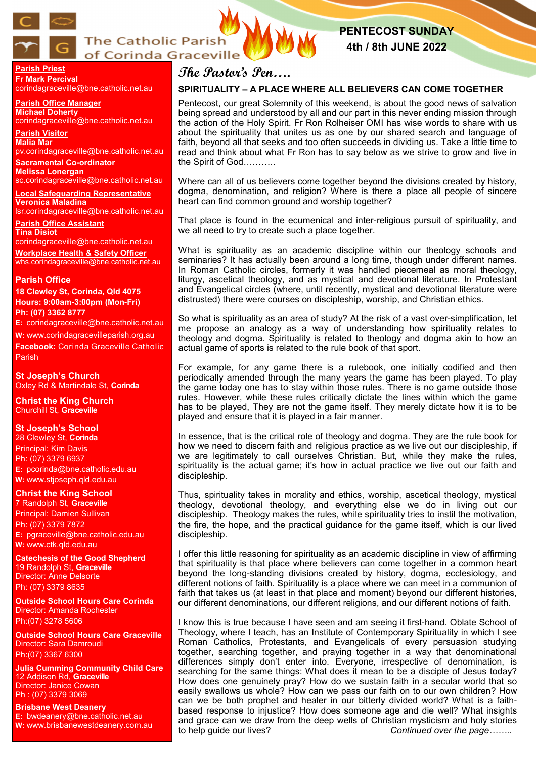

# **The Catholic Parish** of Corinda Graceville

# **PENTECOST SUNDAY 4th / 8th JUNE 2022**

**Parish Priest Fr Mark Percival** corindagraceville@bne.catholic.net.au

**Parish Office Manager Michael Doherty** corindagraceville@bne.catholic.net.au

**Parish Visitor Malia Mar**  pv.corindagraceville@bne.catholic.net.au

**Sacramental Co-ordinator Melissa Lonergan**  sc.corindagraceville@bne.catholic.net.au

**Local Safeguarding Representative Veronica Maladina** lsr.corindagraceville@bne.catholic.net.au

**Parish Office Assistant Tina Disiot**  corindagraceville@bne.catholic.net.au

**Workplace Health & Safety Officer** whs.corindagraceville@bne.catholic.net.au

### **Parish Office**

**18 Clewley St, Corinda, Qld 4075 Hours: 9:00am-3:00pm (Mon-Fri) Ph: (07) 3362 8777**

**E:** corindagraceville@bne.catholic.net.au

**W:** www.corindagracevilleparish.org.au

**Facebook:** Corinda Graceville Catholic Parish

**St Joseph's Church** Oxley Rd & Martindale St, **Corinda**

**Christ the King Church** Churchill St, **Graceville**

### **St Joseph's School**

28 Clewley St, **Corinda** Principal: Kim Davis Ph: (07) 3379 6937 **E:** pcorinda@bne.catholic.edu.au **W:** www.stjoseph.qld.edu.au

# **Christ the King School**

7 Randolph St, **Graceville** Principal: Damien Sullivan Ph: (07) 3379 7872 **E:** pgraceville@bne.catholic.edu.au **W:** www.ctk.qld.edu.au

**Catechesis of the Good Shepherd**  19 Randolph St, **Graceville**  Director: Anne Delsorte Ph: (07) 3379 8635

**Outside School Hours Care Corinda**  Director: Amanda Rochester Ph:(07) 3278 5606

**Outside School Hours Care Graceville**  Director: Sara Damroudi Ph:(07) 3367 6300

**Julia Cumming Community Child Care**  12 Addison Rd, **Graceville**  Director: Janice Cowan Ph : (07) 3379 3069

**Brisbane West Deanery E:** bwdeanery@bne.catholic.net.au **W:** www.brisbanewestdeanery.com.au

# **The Pastor's Pen….**

# **SPIRITUALITY – A PLACE WHERE ALL BELIEVERS CAN COME TOGETHER**

Pentecost, our great Solemnity of this weekend, is about the good news of salvation being spread and understood by all and our part in this never ending mission through the action of the Holy Spirit. Fr Ron Rolheiser OMI has wise words to share with us about the spirituality that unites us as one by our shared search and language of faith, beyond all that seeks and too often succeeds in dividing us. Take a little time to read and think about what Fr Ron has to say below as we strive to grow and live in the Spirit of God………..

Where can all of us believers come together beyond the divisions created by history, dogma, denomination, and religion? Where is there a place all people of sincere heart can find common ground and worship together?

That place is found in the ecumenical and inter-religious pursuit of spirituality, and we all need to try to create such a place together.

What is spirituality as an academic discipline within our theology schools and seminaries? It has actually been around a long time, though under different names. In Roman Catholic circles, formerly it was handled piecemeal as moral theology, liturgy, ascetical theology, and as mystical and devotional literature. In Protestant and Evangelical circles (where, until recently, mystical and devotional literature were distrusted) there were courses on discipleship, worship, and Christian ethics.

So what is spirituality as an area of study? At the risk of a vast over-simplification, let me propose an analogy as a way of understanding how spirituality relates to theology and dogma. Spirituality is related to theology and dogma akin to how an actual game of sports is related to the rule book of that sport.

For example, for any game there is a rulebook, one initially codified and then periodically amended through the many years the game has been played. To play the game today one has to stay within those rules. There is no game outside those rules. However, while these rules critically dictate the lines within which the game has to be played, They are not the game itself. They merely dictate how it is to be played and ensure that it is played in a fair manner.

In essence, that is the critical role of theology and dogma. They are the rule book for how we need to discern faith and religious practice as we live out our discipleship, if we are legitimately to call ourselves Christian. But, while they make the rules, spirituality is the actual game; it's how in actual practice we live out our faith and discipleship.

Thus, spirituality takes in morality and ethics, worship, ascetical theology, mystical theology, devotional theology, and everything else we do in living out our discipleship. Theology makes the rules, while spirituality tries to instil the motivation, the fire, the hope, and the practical guidance for the game itself, which is our lived discipleship.

I offer this little reasoning for spirituality as an academic discipline in view of affirming that spirituality is that place where believers can come together in a common heart beyond the long-standing divisions created by history, dogma, ecclesiology, and different notions of faith. Spirituality is a place where we can meet in a communion of faith that takes us (at least in that place and moment) beyond our different histories, our different denominations, our different religions, and our different notions of faith.

I know this is true because I have seen and am seeing it first-hand. Oblate School of Theology, where I teach, has an Institute of Contemporary Spirituality in which I see Roman Catholics, Protestants, and Evangelicals of every persuasion studying together, searching together, and praying together in a way that denominational differences simply don't enter into. Everyone, irrespective of denomination, is searching for the same things: What does it mean to be a disciple of Jesus today? How does one genuinely pray? How do we sustain faith in a secular world that so easily swallows us whole? How can we pass our faith on to our own children? How can we be both prophet and healer in our bitterly divided world? What is a faithbased response to injustice? How does someone age and die well? What insights and grace can we draw from the deep wells of Christian mysticism and holy stories to help guide our lives? *Continued over the page……..*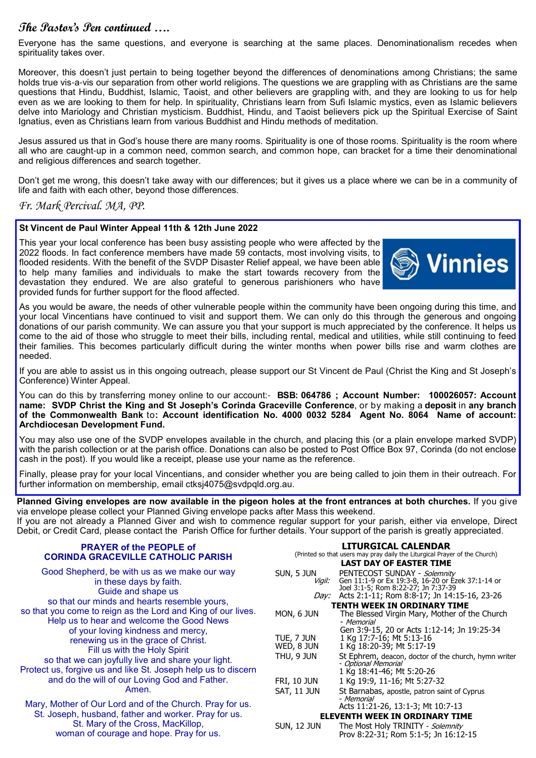# **The Pastor's Pen continued ….**

Everyone has the same questions, and everyone is searching at the same places. Denominationalism recedes when spirituality takes over.

Moreover, this doesn't just pertain to being together beyond the differences of denominations among Christians; the same holds true vis-a-vis our separation from other world religions. The questions we are grappling with as Christians are the same questions that Hindu, Buddhist, Islamic, Taoist, and other believers are grappling with, and they are looking to us for help even as we are looking to them for help. In spirituality, Christians learn from Sufi Islamic mystics, even as Islamic believers delve into Mariology and Christian mysticism. Buddhist, Hindu, and Taoist believers pick up the Spiritual Exercise of Saint Ignatius, even as Christians learn from various Buddhist and Hindu methods of meditation.

Jesus assured us that in God's house there are many rooms. Spirituality is one of those rooms. Spirituality is the room where all who are caught-up in a common need, common search, and common hope, can bracket for a time their denominational and religious differences and search together.

Don't get me wrong, this doesn't take away with our differences; but it gives us a place where we can be in a community of life and faith with each other, beyond those differences.

# *Fr. Mark Percival. MA, PP.*

### **St Vincent de Paul Winter Appeal 11th & 12th June 2022**

This year your local conference has been busy assisting people who were affected by the 2022 floods. In fact conference members have made 59 contacts, most involving visits, to flooded residents. With the benefit of the SVDP Disaster Relief appeal, we have been able to help many families and individuals to make the start towards recovery from the devastation they endured. We are also grateful to generous parishioners who have provided funds for further support for the flood affected.



As you would be aware, the needs of other vulnerable people within the community have been ongoing during this time, and your local Vincentians have continued to visit and support them. We can only do this through the generous and ongoing donations of our parish community. We can assure you that your support is much appreciated by the conference. It helps us come to the aid of those who struggle to meet their bills, including rental, medical and utilities, while still continuing to feed their families. This becomes particularly difficult during the winter months when power bills rise and warm clothes are needed.

If you are able to assist us in this ongoing outreach, please support our St Vincent de Paul (Christ the King and St Joseph's Conference) Winter Appeal.

You can do this by transferring money online to our account:- **BSB: 064786 ; Account Number: 100026057: Account name: SVDP Christ the King and St Joseph's Corinda Graceville Conference**, or by making a **deposit** in **any branch of the Commonwealth Bank** to**: Account identification No. 4000 0032 5284 Agent No. 8064 Name of account: Archdiocesan Development Fund.** 

You may also use one of the SVDP envelopes available in the church, and placing this (or a plain envelope marked SVDP) with the parish collection or at the parish office. Donations can also be posted to Post Office Box 97, Corinda (do not enclose cash in the post). If you would like a receipt, please use your name as the reference.

Finally, please pray for your local Vincentians, and consider whether you are being called to join them in their outreach. For further information on membership, email ctksj4075@svdpqld.org.au.

**Planned Giving envelopes are now available in the pigeon holes at the front entrances at both churches.** If you give via envelope please collect your Planned Giving envelope packs after Mass this weekend.

If you are not already a Planned Giver and wish to commence regular support for your parish, either via envelope, Direct Debit, or Credit Card, please contact the Parish Office for further details. Your support of the parish is greatly appreciated.

| <b>PRAYER of the PEOPLE of</b><br><b>CORINDA GRACEVILLE CATHOLIC PARISH</b>                                                                                                                                                                                                                                                             |                                                                                    | <b>LITURGICAL CALENDAR</b><br>(Printed so that users may pray daily the Liturgical Prayer of the Church)                                                                                                                                                                                                       |
|-----------------------------------------------------------------------------------------------------------------------------------------------------------------------------------------------------------------------------------------------------------------------------------------------------------------------------------------|------------------------------------------------------------------------------------|----------------------------------------------------------------------------------------------------------------------------------------------------------------------------------------------------------------------------------------------------------------------------------------------------------------|
|                                                                                                                                                                                                                                                                                                                                         |                                                                                    | <b>LAST DAY OF EASTER TIME</b>                                                                                                                                                                                                                                                                                 |
| Good Shepherd, be with us as we make our way<br>in these days by faith.<br>Guide and shape us<br>so that our minds and hearts resemble yours,<br>so that you come to reign as the Lord and King of our lives.                                                                                                                           | SUN, 5 JUN<br>Vigil:<br>Day:<br>MON, 6 JUN                                         | PENTECOST SUNDAY - Solemnity<br>Gen 11:1-9 or Ex 19:3-8, 16-20 or Ezek 37:1-14 or<br>Joel 3:1-5; Rom 8:22-27; Jn 7:37-39<br>Acts 2:1-11; Rom 8:8-17; Jn 14:15-16, 23-26<br><b>TENTH WEEK IN ORDINARY TIME</b><br>The Blessed Virgin Mary, Mother of the Church                                                 |
| Help us to hear and welcome the Good News<br>of your loving kindness and mercy,<br>renewing us in the grace of Christ.<br>Fill us with the Holy Spirit<br>so that we can joyfully live and share your light.<br>Protect us, forgive us and like St. Joseph help us to discern<br>and do the will of our Loving God and Father.<br>Amen. | TUE, 7 JUN<br>WED, 8 JUN<br>THU, 9 JUN<br><b>FRI, 10 JUN</b><br><b>SAT, 11 JUN</b> | - Memorial<br>Gen 3:9-15, 20 or Acts 1:12-14; Jn 19:25-34<br>1 Kg 17:7-16; Mt 5:13-16<br>1 Kg 18:20-39; Mt 5:17-19<br>St Ephrem, deacon, doctor of the church, hymn writer<br>- Optional Memorial<br>1 Kg 18:41-46; Mt 5:20-26<br>1 Kg 19:9, 11-16; Mt 5:27-32<br>St Barnabas, apostle, patron saint of Cyprus |
| Mary, Mother of Our Lord and of the Church. Pray for us.<br>St. Joseph, husband, father and worker. Pray for us.<br>St. Mary of the Cross, MacKillop,<br>woman of courage and hope. Pray for us.                                                                                                                                        | SUN, 12 JUN                                                                        | <i>- Memorial</i><br>Acts 11:21-26, 13:1-3; Mt 10:7-13<br><b>ELEVENTH WEEK IN ORDINARY TIME</b><br>The Most Holy TRINITY - Solemnity<br>Prov 8:22-31; Rom 5:1-5; Jn 16:12-15                                                                                                                                   |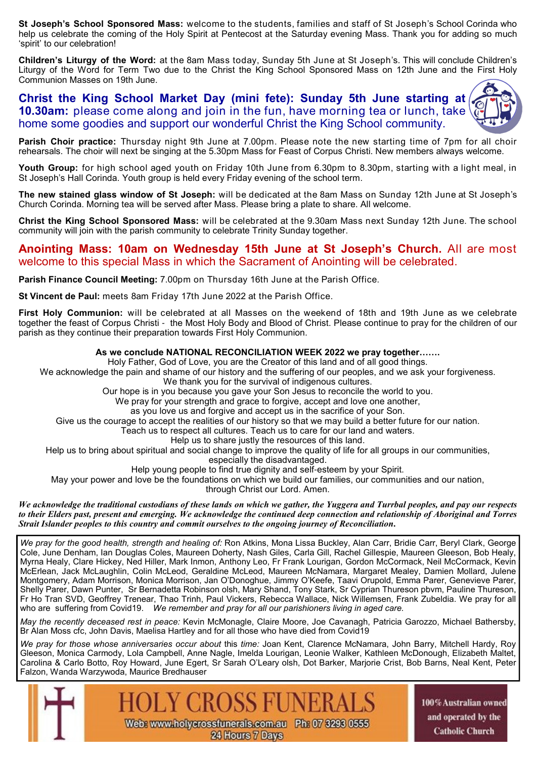**St Joseph's School Sponsored Mass:** welcome to the students, families and staff of St Joseph's School Corinda who help us celebrate the coming of the Holy Spirit at Pentecost at the Saturday evening Mass. Thank you for adding so much 'spirit' to our celebration!

**Children's Liturgy of the Word:** at the 8am Mass today, Sunday 5th June at St Joseph's. This will conclude Children's Liturgy of the Word for Term Two due to the Christ the King School Sponsored Mass on 12th June and the First Holy Communion Masses on 19th June.

**Christ the King School Market Day (mini fete): Sunday 5th June starting at 10.30am:** please come along and join in the fun, have morning tea or lunch, take home some goodies and support our wonderful Christ the King School community.

**Parish Choir practice:** Thursday night 9th June at 7.00pm. Please note the new starting time of 7pm for all choir rehearsals. The choir will next be singing at the 5.30pm Mass for Feast of Corpus Christi. New members always welcome.

**Youth Group:** for high school aged youth on Friday 10th June from 6.30pm to 8.30pm, starting with a light meal, in St Joseph's Hall Corinda. Youth group is held every Friday evening of the school term.

**The new stained glass window of St Joseph:** will be dedicated at the 8am Mass on Sunday 12th June at St Joseph's Church Corinda. Morning tea will be served after Mass. Please bring a plate to share. All welcome.

**Christ the King School Sponsored Mass:** will be celebrated at the 9.30am Mass next Sunday 12th June. The school community will join with the parish community to celebrate Trinity Sunday together.

# **Anointing Mass: 10am on Wednesday 15th June at St Joseph's Church.** All are most welcome to this special Mass in which the Sacrament of Anointing will be celebrated.

**Parish Finance Council Meeting:** 7.00pm on Thursday 16th June at the Parish Office.

**St Vincent de Paul:** meets 8am Friday 17th June 2022 at the Parish Office.

**First Holy Communion:** will be celebrated at all Masses on the weekend of 18th and 19th June as we celebrate together the feast of Corpus Christi - the Most Holy Body and Blood of Christ. Please continue to pray for the children of our parish as they continue their preparation towards First Holy Communion.

#### **As we conclude NATIONAL RECONCILIATION WEEK 2022 we pray together…….**

Holy Father, God of Love, you are the Creator of this land and of all good things.

We acknowledge the pain and shame of our history and the suffering of our peoples, and we ask your forgiveness.

We thank you for the survival of indigenous cultures.

Our hope is in you because you gave your Son Jesus to reconcile the world to you.

We pray for your strength and grace to forgive, accept and love one another,

as you love us and forgive and accept us in the sacrifice of your Son.

Give us the courage to accept the realities of our history so that we may build a better future for our nation.

Teach us to respect all cultures. Teach us to care for our land and waters.

Help us to share justly the resources of this land.

Help us to bring about spiritual and social change to improve the quality of life for all groups in our communities,

especially the disadvantaged.

Help young people to find true dignity and self-esteem by your Spirit.

May your power and love be the foundations on which we build our families, our communities and our nation,

through Christ our Lord. Amen.

*We acknowledge the traditional custodians of these lands on which we gather, the Yuggera and Turrbal peoples, and pay our respects to their Elders past, present and emerging. We acknowledge the continued deep connection and relationship of Aboriginal and Torres Strait Islander peoples to this country and commit ourselves to the ongoing journey of Reconciliation***.**

*We pray for the good health, strength and healing of:* Ron Atkins, Mona Lissa Buckley, Alan Carr, Bridie Carr, Beryl Clark, George Cole, June Denham, Ian Douglas Coles, Maureen Doherty, Nash Giles, Carla Gill, Rachel Gillespie, Maureen Gleeson, Bob Healy, Myrna Healy, Clare Hickey, Ned Hiller, Mark Inmon, Anthony Leo, Fr Frank Lourigan, Gordon McCormack, Neil McCormack, Kevin McErlean, Jack McLaughlin, Colin McLeod, Geraldine McLeod, Maureen McNamara, Margaret Mealey, Damien Mollard, Julene Montgomery, Adam Morrison, Monica Morrison, Jan O'Donoghue, Jimmy O'Keefe, Taavi Orupold, Emma Parer, Genevieve Parer, Shelly Parer, Dawn Punter, Sr Bernadetta Robinson olsh, Mary Shand, Tony Stark, Sr Cyprian Thureson pbvm, Pauline Thureson, Fr Ho Tran SVD, Geoffrey Trenear, Thao Trinh, Paul Vickers, Rebecca Wallace, Nick Willemsen, Frank Zubeldia. We pray for all who are suffering from Covid19. *We remember and pray for all our parishioners living in aged care.* 

*May the recently deceased rest in peace:* Kevin McMonagle, Claire Moore, Joe Cavanagh, Patricia Garozzo, Michael Bathersby, Br Alan Moss cfc, John Davis, Maelisa Hartley and for all those who have died from Covid19

*We pray for those whose anniversaries occur about* this *time:* Joan Kent, Clarence McNamara, John Barry, Mitchell Hardy, Roy Gleeson, Monica Carmody, Lola Campbell, Anne Nagle, Imelda Lourigan, Leonie Walker, Kathleen McDonough, Elizabeth Maltet, Carolina & Carlo Botto, Roy Howard, June Egert, Sr Sarah O'Leary olsh, Dot Barker, Marjorie Crist, Bob Barns, Neal Kent, Peter Falzon, Wanda Warzywoda, Maurice Bredhauser



100% Australian owned and operated by the **Catholic Church**